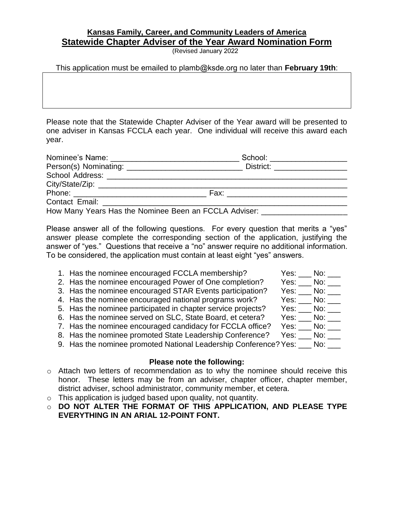## **Kansas Family, Career, and Community Leaders of America Statewide Chapter Adviser of the Year Award Nomination Form**

(Revised January 2022

This application must be emailed to plamb@ksde.org no later than **February 19th**:

Please note that the Statewide Chapter Adviser of the Year award will be presented to one adviser in Kansas FCCLA each year. One individual will receive this award each year.

|                                                                                  | School: ____________________ |  |  |  |  |  |  |
|----------------------------------------------------------------------------------|------------------------------|--|--|--|--|--|--|
|                                                                                  |                              |  |  |  |  |  |  |
|                                                                                  |                              |  |  |  |  |  |  |
|                                                                                  |                              |  |  |  |  |  |  |
|                                                                                  |                              |  |  |  |  |  |  |
| Contact Email: <u>____________________________</u>                               |                              |  |  |  |  |  |  |
| How Many Years Has the Nominee Been an FCCLA Adviser: __________________________ |                              |  |  |  |  |  |  |

Please answer all of the following questions. For every question that merits a "yes" answer please complete the corresponding section of the application, justifying the answer of "yes." Questions that receive a "no" answer require no additional information. To be considered, the application must contain at least eight "yes" answers.

| 1. Has the nominee encouraged FCCLA membership?                          |      | Yes: No: |
|--------------------------------------------------------------------------|------|----------|
| 2. Has the nominee encouraged Power of One completion?                   |      | Yes: No: |
| 3. Has the nominee encouraged STAR Events participation?                 |      | Yes: No: |
| 4. Has the nominee encouraged national programs work?                    |      | Yes: No: |
| 5. Has the nominee participated in chapter service projects?             |      | Yes: No: |
| 6. Has the nominee served on SLC, State Board, et cetera?                |      | Yes: No: |
| 7. Has the nominee encouraged candidacy for FCCLA office?                | Yes: | No:      |
| 8. Has the nominee promoted State Leadership Conference?                 |      | Yes: No: |
| 9. Has the nominee promoted National Leadership Conference? Yes: No: No: |      |          |

## **Please note the following:**

- o Attach two letters of recommendation as to why the nominee should receive this honor. These letters may be from an adviser, chapter officer, chapter member, district adviser, school administrator, community member, et cetera.
- o This application is judged based upon quality, not quantity.
- o **DO NOT ALTER THE FORMAT OF THIS APPLICATION, AND PLEASE TYPE EVERYTHING IN AN ARIAL 12-POINT FONT.**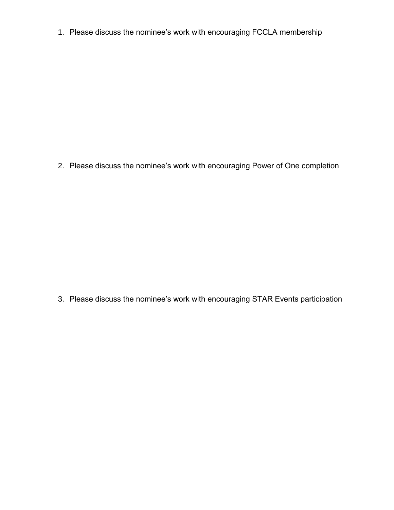1. Please discuss the nominee's work with encouraging FCCLA membership

2. Please discuss the nominee's work with encouraging Power of One completion

3. Please discuss the nominee's work with encouraging STAR Events participation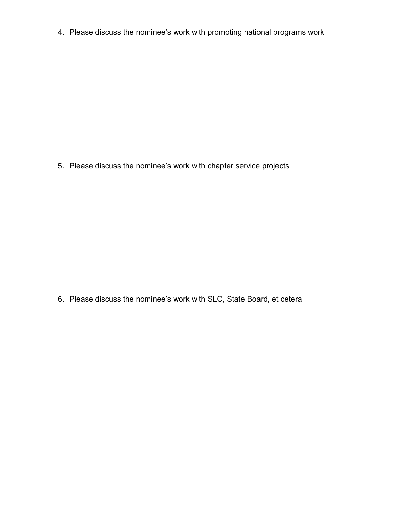4. Please discuss the nominee's work with promoting national programs work

5. Please discuss the nominee's work with chapter service projects

6. Please discuss the nominee's work with SLC, State Board, et cetera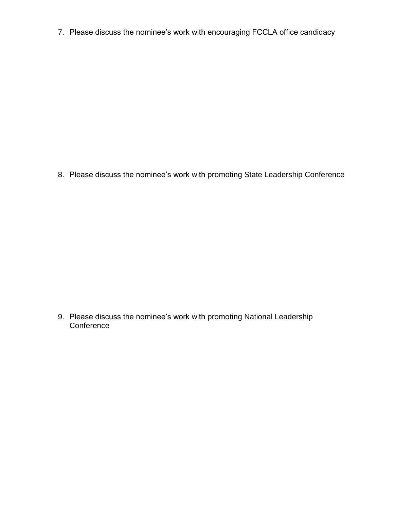7. Please discuss the nominee's work with encouraging FCCLA office candidacy

8. Please discuss the nominee's work with promoting State Leadership Conference

9. Please discuss the nominee's work with promoting National Leadership **Conference**